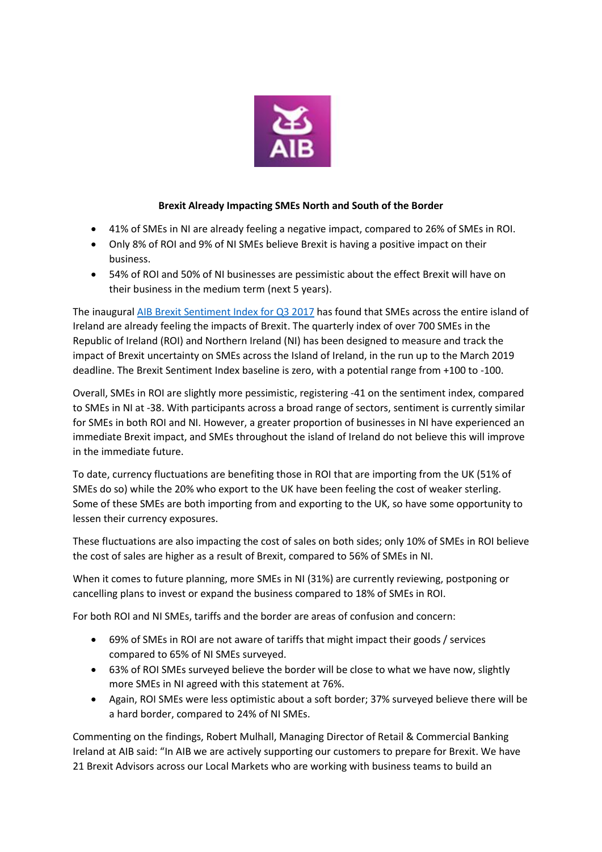

## **Brexit Already Impacting SMEs North and South of the Border**

- 41% of SMEs in NI are already feeling a negative impact, compared to 26% of SMEs in ROI.
- Only 8% of ROI and 9% of NI SMEs believe Brexit is having a positive impact on their business.
- 54% of ROI and 50% of NI businesses are pessimistic about the effect Brexit will have on their business in the medium term (next 5 years).

The inaugural AIB Brexit [Sentiment Index](https://fxcentre.aib.ie/content/dam/aib/fxcentre/docs/brexit-sentiment-index-q3-2017.pdf) for Q3 2017 has found that SMEs across the entire island of Ireland are already feeling the impacts of Brexit. The quarterly index of over 700 SMEs in the Republic of Ireland (ROI) and Northern Ireland (NI) has been designed to measure and track the impact of Brexit uncertainty on SMEs across the Island of Ireland, in the run up to the March 2019 deadline. The Brexit Sentiment Index baseline is zero, with a potential range from +100 to -100.

Overall, SMEs in ROI are slightly more pessimistic, registering -41 on the sentiment index, compared to SMEs in NI at -38. With participants across a broad range of sectors, sentiment is currently similar for SMEs in both ROI and NI. However, a greater proportion of businesses in NI have experienced an immediate Brexit impact, and SMEs throughout the island of Ireland do not believe this will improve in the immediate future.

To date, currency fluctuations are benefiting those in ROI that are importing from the UK (51% of SMEs do so) while the 20% who export to the UK have been feeling the cost of weaker sterling. Some of these SMEs are both importing from and exporting to the UK, so have some opportunity to lessen their currency exposures.

These fluctuations are also impacting the cost of sales on both sides; only 10% of SMEs in ROI believe the cost of sales are higher as a result of Brexit, compared to 56% of SMEs in NI.

When it comes to future planning, more SMEs in NI (31%) are currently reviewing, postponing or cancelling plans to invest or expand the business compared to 18% of SMEs in ROI.

For both ROI and NI SMEs, tariffs and the border are areas of confusion and concern:

- 69% of SMEs in ROI are not aware of tariffs that might impact their goods / services compared to 65% of NI SMEs surveyed.
- 63% of ROI SMEs surveyed believe the border will be close to what we have now, slightly more SMEs in NI agreed with this statement at 76%.
- Again, ROI SMEs were less optimistic about a soft border; 37% surveyed believe there will be a hard border, compared to 24% of NI SMEs.

Commenting on the findings, Robert Mulhall, Managing Director of Retail & Commercial Banking Ireland at AIB said: "In AIB we are actively supporting our customers to prepare for Brexit. We have 21 Brexit Advisors across our Local Markets who are working with business teams to build an